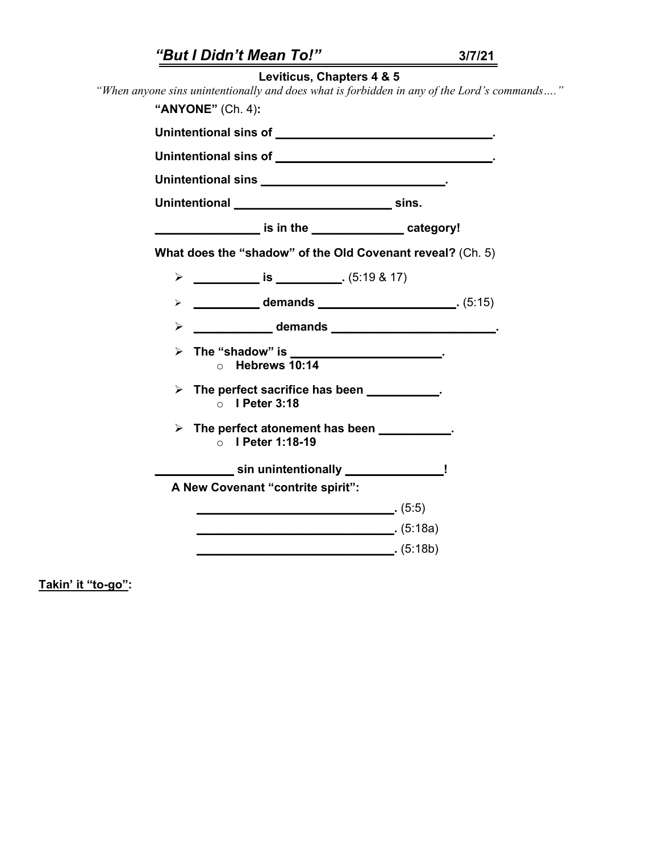|  |                                                                                                                                                                                                                                                                           | "But I Didn't Mean To!" |                                                          |  | 3/7/21                                                                                      |  |
|--|---------------------------------------------------------------------------------------------------------------------------------------------------------------------------------------------------------------------------------------------------------------------------|-------------------------|----------------------------------------------------------|--|---------------------------------------------------------------------------------------------|--|
|  |                                                                                                                                                                                                                                                                           |                         | Leviticus, Chapters 4 & 5                                |  |                                                                                             |  |
|  |                                                                                                                                                                                                                                                                           |                         |                                                          |  | "When anyone sins unintentionally and does what is forbidden in any of the Lord's commands" |  |
|  |                                                                                                                                                                                                                                                                           | "ANYONE" (Ch. 4):       |                                                          |  |                                                                                             |  |
|  |                                                                                                                                                                                                                                                                           |                         |                                                          |  |                                                                                             |  |
|  |                                                                                                                                                                                                                                                                           |                         |                                                          |  |                                                                                             |  |
|  | Unintentional sins the contract of the contract of the contract of the contract of the contract of the contract of the contract of the contract of the contract of the contract of the contract of the contract of the contrac                                            |                         |                                                          |  |                                                                                             |  |
|  |                                                                                                                                                                                                                                                                           |                         |                                                          |  |                                                                                             |  |
|  |                                                                                                                                                                                                                                                                           |                         | is in the __________________category!                    |  |                                                                                             |  |
|  | What does the "shadow" of the Old Covenant reveal? (Ch. 5)                                                                                                                                                                                                                |                         |                                                          |  |                                                                                             |  |
|  |                                                                                                                                                                                                                                                                           |                         |                                                          |  |                                                                                             |  |
|  |                                                                                                                                                                                                                                                                           |                         | > 15)                                                    |  |                                                                                             |  |
|  |                                                                                                                                                                                                                                                                           |                         | A CONSTRUCT CONTINUES CONTINUES AND ACCORDING CONTINUES. |  |                                                                                             |  |
|  | > The "shadow" is __________________________.<br>$\circ$ Hebrews 10:14<br>$\triangleright$ The perfect sacrifice has been $\_\_\_\_\_\_\_\_\_\_\_\_\_\,.$<br>$\circ$ I Peter 3:18<br>$\triangleright$ The perfect atonement has been $\cdot$ .<br>$\circ$ I Peter 1:18-19 |                         |                                                          |  |                                                                                             |  |
|  |                                                                                                                                                                                                                                                                           |                         |                                                          |  |                                                                                             |  |
|  |                                                                                                                                                                                                                                                                           |                         |                                                          |  |                                                                                             |  |
|  |                                                                                                                                                                                                                                                                           |                         | sin unintentionally _________________!                   |  |                                                                                             |  |
|  |                                                                                                                                                                                                                                                                           |                         | A New Covenant "contrite spirit":                        |  |                                                                                             |  |
|  |                                                                                                                                                                                                                                                                           |                         |                                                          |  |                                                                                             |  |
|  |                                                                                                                                                                                                                                                                           |                         |                                                          |  |                                                                                             |  |
|  |                                                                                                                                                                                                                                                                           |                         |                                                          |  |                                                                                             |  |

**Takin' it "to-go":**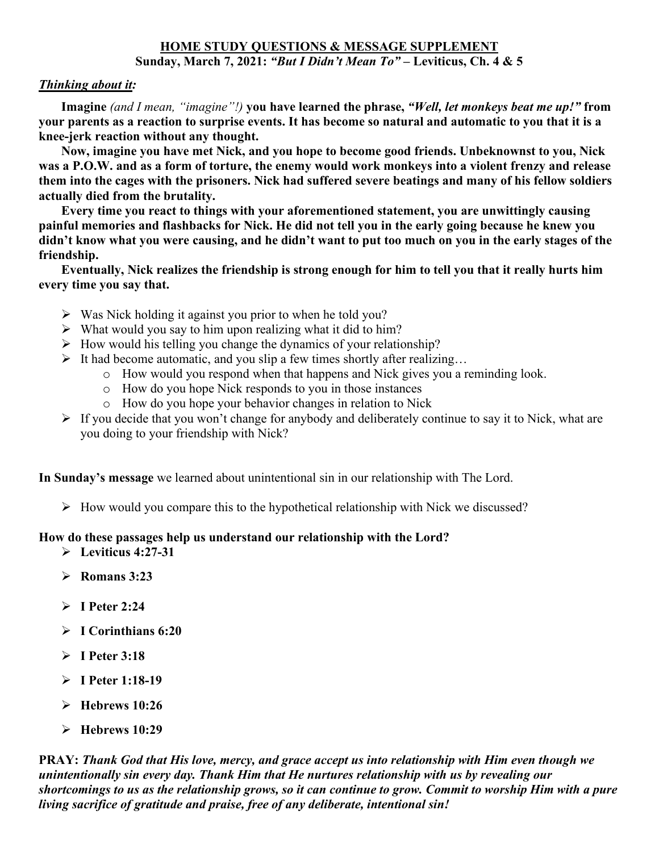## **HOME STUDY QUESTIONS & MESSAGE SUPPLEMENT Sunday, March 7, 2021:** *"But I Didn't Mean To"* **– Leviticus, Ch. 4 & 5**

## *Thinking about it:*

 **Imagine** *(and I mean, "imagine"!)* **you have learned the phrase,** *"Well, let monkeys beat me up!"* **from your parents as a reaction to surprise events. It has become so natural and automatic to you that it is a knee-jerk reaction without any thought.** 

 **Now, imagine you have met Nick, and you hope to become good friends. Unbeknownst to you, Nick was a P.O.W. and as a form of torture, the enemy would work monkeys into a violent frenzy and release them into the cages with the prisoners. Nick had suffered severe beatings and many of his fellow soldiers actually died from the brutality.** 

 **Every time you react to things with your aforementioned statement, you are unwittingly causing painful memories and flashbacks for Nick. He did not tell you in the early going because he knew you didn't know what you were causing, and he didn't want to put too much on you in the early stages of the friendship.** 

 **Eventually, Nick realizes the friendship is strong enough for him to tell you that it really hurts him every time you say that.** 

- $\triangleright$  Was Nick holding it against you prior to when he told you?
- $\triangleright$  What would you say to him upon realizing what it did to him?
- $\triangleright$  How would his telling you change the dynamics of your relationship?
- It had become automatic, and you slip a few times shortly after realizing...
	- o How would you respond when that happens and Nick gives you a reminding look.
	- o How do you hope Nick responds to you in those instances
	- o How do you hope your behavior changes in relation to Nick
- $\triangleright$  If you decide that you won't change for anybody and deliberately continue to say it to Nick, what are you doing to your friendship with Nick?

**In Sunday's message** we learned about unintentional sin in our relationship with The Lord.

 $\triangleright$  How would you compare this to the hypothetical relationship with Nick we discussed?

## **How do these passages help us understand our relationship with the Lord?**

- **Leviticus 4:27-31**
- **Romans 3:23**
- **I Peter 2:24**
- **I Corinthians 6:20**
- **I Peter 3:18**
- **I Peter 1:18-19**
- **Hebrews 10:26**
- **Hebrews 10:29**

**PRAY:** *Thank God that His love, mercy, and grace accept us into relationship with Him even though we unintentionally sin every day. Thank Him that He nurtures relationship with us by revealing our shortcomings to us as the relationship grows, so it can continue to grow. Commit to worship Him with a pure living sacrifice of gratitude and praise, free of any deliberate, intentional sin!*